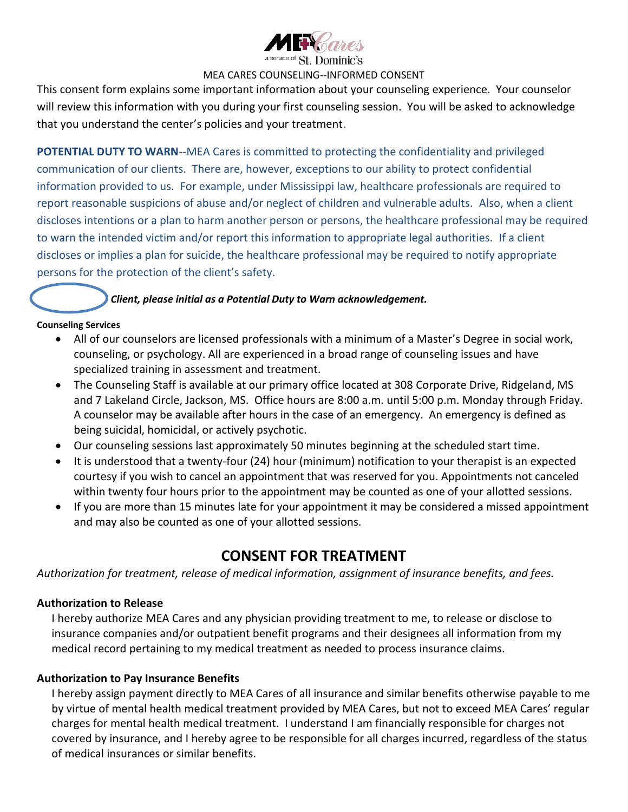

#### MEA CARES COUNSELING--INFORMED CONSENT

This consent form explains some important information about your counseling experience. Your counselor will review this information with you during your first counseling session. You will be asked to acknowledge that you understand the center's policies and your treatment.

**POTENTIAL DUTY TO WARN**--MEA Cares is committed to protecting the confidentiality and privileged communication of our clients. There are, however, exceptions to our ability to protect confidential information provided to us. For example, under Mississippi law, healthcare professionals are required to report reasonable suspicions of abuse and/or neglect of children and vulnerable adults. Also, when a client discloses intentions or a plan to harm another person or persons, the healthcare professional may be required to warn the intended victim and/or report this information to appropriate legal authorities. If a client discloses or implies a plan for suicide, the healthcare professional may be required to notify appropriate persons for the protection of the client's safety.

### *Client, please initial as a Potential Duty to Warn acknowledgement.*

#### **Counseling Services**

- All of our counselors are licensed professionals with a minimum of a Master's Degree in social work, counseling, or psychology. All are experienced in a broad range of counseling issues and have specialized training in assessment and treatment.
- The Counseling Staff is available at our primary office located at 308 Corporate Drive, Ridgeland, MS and 7 Lakeland Circle, Jackson, MS. Office hours are 8:00 a.m. until 5:00 p.m. Monday through Friday. A counselor may be available after hours in the case of an emergency. An emergency is defined as being suicidal, homicidal, or actively psychotic.
- Our counseling sessions last approximately 50 minutes beginning at the scheduled start time.
- It is understood that a twenty-four (24) hour (minimum) notification to your therapist is an expected courtesy if you wish to cancel an appointment that was reserved for you. Appointments not canceled within twenty four hours prior to the appointment may be counted as one of your allotted sessions.
- If you are more than 15 minutes late for your appointment it may be considered a missed appointment and may also be counted as one of your allotted sessions.

# **CONSENT FOR TREATMENT**

*Authorization for treatment, release of medical information, assignment of insurance benefits, and fees.*

### **Authorization to Release**

I hereby authorize MEA Cares and any physician providing treatment to me, to release or disclose to insurance companies and/or outpatient benefit programs and their designees all information from my medical record pertaining to my medical treatment as needed to process insurance claims.

### **Authorization to Pay Insurance Benefits**

I hereby assign payment directly to MEA Cares of all insurance and similar benefits otherwise payable to me by virtue of mental health medical treatment provided by MEA Cares, but not to exceed MEA Cares' regular charges for mental health medical treatment. I understand I am financially responsible for charges not covered by insurance, and I hereby agree to be responsible for all charges incurred, regardless of the status of medical insurances or similar benefits.